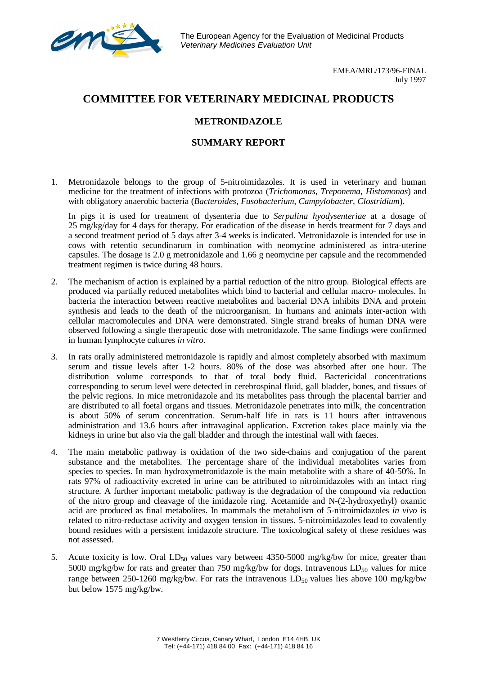The European Agency for the Evaluation of Medicinal Products *Veterinary Medicines Evaluation Unit*

> EMEA/MRL/173/96-FINAL July 1997

## **COMMITTEE FOR VETERINARY MEDICINAL PRODUCTS**

## **METRONIDAZOLE**

## **SUMMARY REPORT**

1. Metronidazole belongs to the group of 5-nitroimidazoles. It is used in veterinary and human medicine for the treatment of infections with protozoa (*Trichomonas*, *Treponema*, *Histomonas*) and with obligatory anaerobic bacteria (*Bacteroides*, *Fusobacterium*, *Campylobacter*, *Clostridium*).

In pigs it is used for treatment of dysenteria due to *Serpulina hyodysenteriae* at a dosage of 25 mg/kg/day for 4 days for therapy. For eradication of the disease in herds treatment for 7 days and a second treatment period of 5 days after 3-4 weeks is indicated. Metronidazole is intended for use in cows with retentio secundinarum in combination with neomycine administered as intra-uterine capsules. The dosage is 2.0 g metronidazole and 1.66 g neomycine per capsule and the recommended treatment regimen is twice during 48 hours.

- 2. The mechanism of action is explained by a partial reduction of the nitro group. Biological effects are produced via partially reduced metabolites which bind to bacterial and cellular macro- molecules. In bacteria the interaction between reactive metabolites and bacterial DNA inhibits DNA and protein synthesis and leads to the death of the microorganism. In humans and animals inter-action with cellular macromolecules and DNA were demonstrated. Single strand breaks of human DNA were observed following a single therapeutic dose with metronidazole. The same findings were confirmed in human lymphocyte cultures *in vitro*.
- 3. In rats orally administered metronidazole is rapidly and almost completely absorbed with maximum serum and tissue levels after 1-2 hours. 80% of the dose was absorbed after one hour. The distribution volume corresponds to that of total body fluid. Bactericidal concentrations corresponding to serum level were detected in cerebrospinal fluid, gall bladder, bones, and tissues of the pelvic regions. In mice metronidazole and its metabolites pass through the placental barrier and are distributed to all foetal organs and tissues. Metronidazole penetrates into milk, the concentration is about 50% of serum concentration. Serum-half life in rats is 11 hours after intravenous administration and 13.6 hours after intravaginal application. Excretion takes place mainly via the kidneys in urine but also via the gall bladder and through the intestinal wall with faeces.
- 4. The main metabolic pathway is oxidation of the two side-chains and conjugation of the parent substance and the metabolites. The percentage share of the individual metabolites varies from species to species. In man hydroxymetronidazole is the main metabolite with a share of 40-50%. In rats 97% of radioactivity excreted in urine can be attributed to nitroimidazoles with an intact ring structure. A further important metabolic pathway is the degradation of the compound via reduction of the nitro group and cleavage of the imidazole ring. Acetamide and N-(2-hydroxyethyl) oxamic acid are produced as final metabolites. In mammals the metabolism of 5-nitroimidazoles *in vivo* is related to nitro-reductase activity and oxygen tension in tissues. 5-nitroimidazoles lead to covalently bound residues with a persistent imidazole structure. The toxicological safety of these residues was not assessed.
- 5. Acute toxicity is low. Oral  $LD_{50}$  values vary between 4350-5000 mg/kg/bw for mice, greater than 5000 mg/kg/bw for rats and greater than 750 mg/kg/bw for dogs. Intravenous  $LD_{50}$  values for mice range between 250-1260 mg/kg/bw. For rats the intravenous  $LD_{50}$  values lies above 100 mg/kg/bw but below 1575 mg/kg/bw.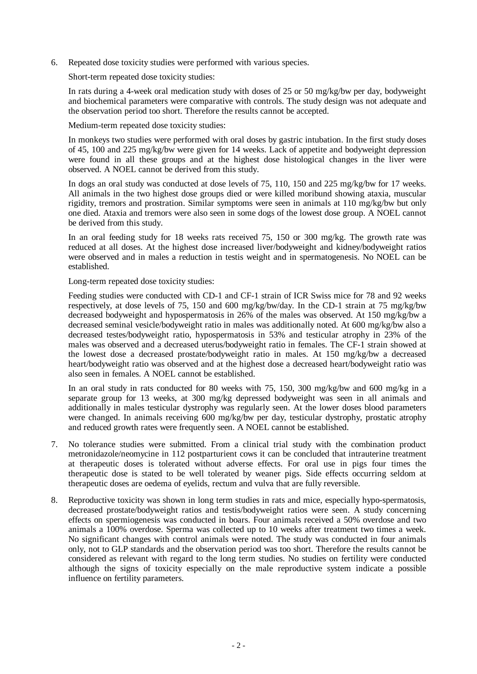6. Repeated dose toxicity studies were performed with various species.

Short-term repeated dose toxicity studies:

In rats during a 4-week oral medication study with doses of 25 or 50 mg/kg/bw per day, bodyweight and biochemical parameters were comparative with controls. The study design was not adequate and the observation period too short. Therefore the results cannot be accepted.

Medium-term repeated dose toxicity studies:

In monkeys two studies were performed with oral doses by gastric intubation. In the first study doses of 45, 100 and 225 mg/kg/bw were given for 14 weeks. Lack of appetite and bodyweight depression were found in all these groups and at the highest dose histological changes in the liver were observed. A NOEL cannot be derived from this study.

In dogs an oral study was conducted at dose levels of 75, 110, 150 and 225 mg/kg/bw for 17 weeks. All animals in the two highest dose groups died or were killed moribund showing ataxia, muscular rigidity, tremors and prostration. Similar symptoms were seen in animals at 110 mg/kg/bw but only one died. Ataxia and tremors were also seen in some dogs of the lowest dose group. A NOEL cannot be derived from this study.

In an oral feeding study for 18 weeks rats received 75, 150 or 300 mg/kg. The growth rate was reduced at all doses. At the highest dose increased liver/bodyweight and kidney/bodyweight ratios were observed and in males a reduction in testis weight and in spermatogenesis. No NOEL can be established.

Long-term repeated dose toxicity studies:

Feeding studies were conducted with CD-1 and CF-1 strain of ICR Swiss mice for 78 and 92 weeks respectively, at dose levels of 75, 150 and 600 mg/kg/bw/day. In the CD-1 strain at 75 mg/kg/bw decreased bodyweight and hypospermatosis in 26% of the males was observed. At 150 mg/kg/bw a decreased seminal vesicle/bodyweight ratio in males was additionally noted. At 600 mg/kg/bw also a decreased testes/bodyweight ratio, hypospermatosis in 53% and testicular atrophy in 23% of the males was observed and a decreased uterus/bodyweight ratio in females. The CF-1 strain showed at the lowest dose a decreased prostate/bodyweight ratio in males. At 150 mg/kg/bw a decreased heart/bodyweight ratio was observed and at the highest dose a decreased heart/bodyweight ratio was also seen in females. A NOEL cannot be established.

In an oral study in rats conducted for 80 weeks with 75, 150, 300 mg/kg/bw and 600 mg/kg in a separate group for 13 weeks, at 300 mg/kg depressed bodyweight was seen in all animals and additionally in males testicular dystrophy was regularly seen. At the lower doses blood parameters were changed. In animals receiving 600 mg/kg/bw per day, testicular dystrophy, prostatic atrophy and reduced growth rates were frequently seen. A NOEL cannot be established.

- 7. No tolerance studies were submitted. From a clinical trial study with the combination product metronidazole/neomycine in 112 postparturient cows it can be concluded that intrauterine treatment at therapeutic doses is tolerated without adverse effects. For oral use in pigs four times the therapeutic dose is stated to be well tolerated by weaner pigs. Side effects occurring seldom at therapeutic doses are oedema of eyelids, rectum and vulva that are fully reversible.
- 8. Reproductive toxicity was shown in long term studies in rats and mice, especially hypo-spermatosis, decreased prostate/bodyweight ratios and testis/bodyweight ratios were seen. A study concerning effects on spermiogenesis was conducted in boars. Four animals received a 50% overdose and two animals a 100% overdose. Sperma was collected up to 10 weeks after treatment two times a week. No significant changes with control animals were noted. The study was conducted in four animals only, not to GLP standards and the observation period was too short. Therefore the results cannot be considered as relevant with regard to the long term studies. No studies on fertility were conducted although the signs of toxicity especially on the male reproductive system indicate a possible influence on fertility parameters.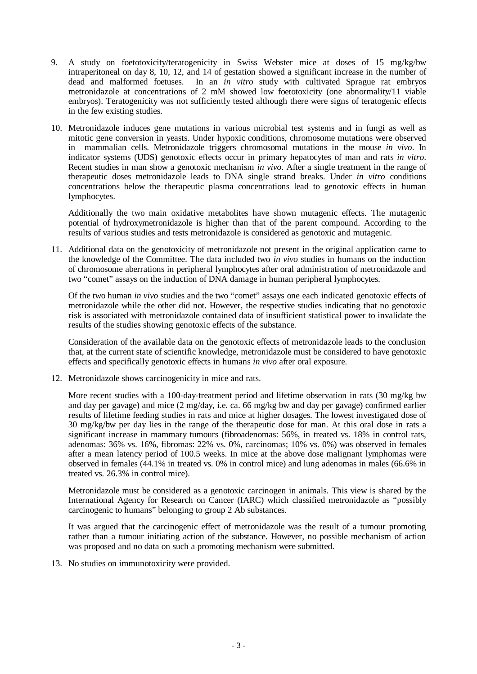- 9. A study on foetotoxicity/teratogenicity in Swiss Webster mice at doses of 15 mg/kg/bw intraperitoneal on day 8, 10, 12, and 14 of gestation showed a significant increase in the number of dead and malformed foetuses. In an *in vitro* study with cultivated Sprague rat embryos metronidazole at concentrations of 2 mM showed low foetotoxicity (one abnormality/11 viable embryos). Teratogenicity was not sufficiently tested although there were signs of teratogenic effects in the few existing studies.
- 10. Metronidazole induces gene mutations in various microbial test systems and in fungi as well as mitotic gene conversion in yeasts. Under hypoxic conditions, chromosome mutations were observed in mammalian cells. Metronidazole triggers chromosomal mutations in the mouse *in vivo*. In indicator systems (UDS) genotoxic effects occur in primary hepatocytes of man and rats *in vitro*. Recent studies in man show a genotoxic mechanism *in vivo*. After a single treatment in the range of therapeutic doses metronidazole leads to DNA single strand breaks. Under *in vitro* conditions concentrations below the therapeutic plasma concentrations lead to genotoxic effects in human lymphocytes.

Additionally the two main oxidative metabolites have shown mutagenic effects. The mutagenic potential of hydroxymetronidazole is higher than that of the parent compound. According to the results of various studies and tests metronidazole is considered as genotoxic and mutagenic.

11. Additional data on the genotoxicity of metronidazole not present in the original application came to the knowledge of the Committee. The data included two *in vivo* studies in humans on the induction of chromosome aberrations in peripheral lymphocytes after oral administration of metronidazole and two "comet" assays on the induction of DNA damage in human peripheral lymphocytes.

Of the two human *in vivo* studies and the two "comet" assays one each indicated genotoxic effects of metronidazole while the other did not. However, the respective studies indicating that no genotoxic risk is associated with metronidazole contained data of insufficient statistical power to invalidate the results of the studies showing genotoxic effects of the substance.

Consideration of the available data on the genotoxic effects of metronidazole leads to the conclusion that, at the current state of scientific knowledge, metronidazole must be considered to have genotoxic effects and specifically genotoxic effects in humans *in vivo* after oral exposure.

12. Metronidazole shows carcinogenicity in mice and rats.

More recent studies with a 100-day-treatment period and lifetime observation in rats (30 mg/kg bw and day per gavage) and mice (2 mg/day, i.e. ca. 66 mg/kg bw and day per gavage) confirmed earlier results of lifetime feeding studies in rats and mice at higher dosages. The lowest investigated dose of 30 mg/kg/bw per day lies in the range of the therapeutic dose for man. At this oral dose in rats a significant increase in mammary tumours (fibroadenomas: 56%, in treated vs. 18% in control rats, adenomas: 36% vs. 16%, fibromas: 22% vs. 0%, carcinomas; 10% vs. 0%) was observed in females after a mean latency period of 100.5 weeks. In mice at the above dose malignant lymphomas were observed in females (44.1% in treated vs. 0% in control mice) and lung adenomas in males (66.6% in treated vs. 26.3% in control mice).

Metronidazole must be considered as a genotoxic carcinogen in animals. This view is shared by the International Agency for Research on Cancer (IARC) which classified metronidazole as "possibly carcinogenic to humans" belonging to group 2 Ab substances.

It was argued that the carcinogenic effect of metronidazole was the result of a tumour promoting rather than a tumour initiating action of the substance. However, no possible mechanism of action was proposed and no data on such a promoting mechanism were submitted.

13. No studies on immunotoxicity were provided.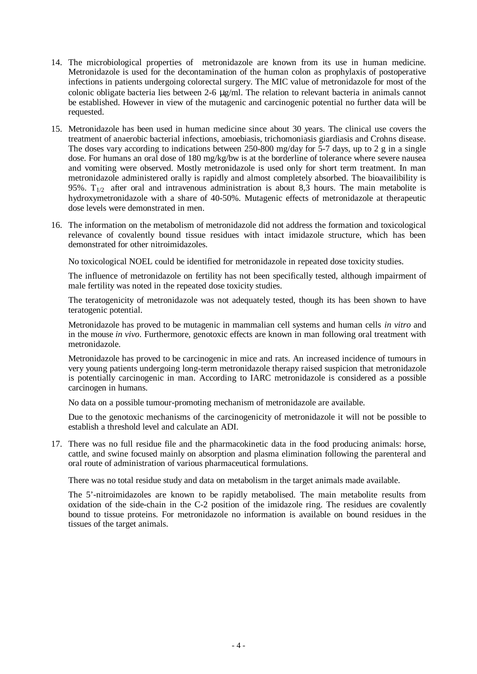- 14. The microbiological properties of metronidazole are known from its use in human medicine. Metronidazole is used for the decontamination of the human colon as prophylaxis of postoperative infections in patients undergoing colorectal surgery. The MIC value of metronidazole for most of the colonic obligate bacteria lies between 2-6 μg/ml. The relation to relevant bacteria in animals cannot be established. However in view of the mutagenic and carcinogenic potential no further data will be requested.
- 15. Metronidazole has been used in human medicine since about 30 years. The clinical use covers the treatment of anaerobic bacterial infections, amoebiasis, trichomoniasis giardiasis and Crohns disease. The doses vary according to indications between 250-800 mg/day for 5-7 days, up to 2 g in a single dose. For humans an oral dose of 180 mg/kg/bw is at the borderline of tolerance where severe nausea and vomiting were observed. Mostly metronidazole is used only for short term treatment. In man metronidazole administered orally is rapidly and almost completely absorbed. The bioavailibility is 95%.  $T_{1/2}$  after oral and intravenous administration is about 8,3 hours. The main metabolite is hydroxymetronidazole with a share of 40-50%. Mutagenic effects of metronidazole at therapeutic dose levels were demonstrated in men.
- 16. The information on the metabolism of metronidazole did not address the formation and toxicological relevance of covalently bound tissue residues with intact imidazole structure, which has been demonstrated for other nitroimidazoles.

No toxicological NOEL could be identified for metronidazole in repeated dose toxicity studies.

The influence of metronidazole on fertility has not been specifically tested, although impairment of male fertility was noted in the repeated dose toxicity studies.

The teratogenicity of metronidazole was not adequately tested, though its has been shown to have teratogenic potential.

Metronidazole has proved to be mutagenic in mammalian cell systems and human cells *in vitro* and in the mouse *in vivo*. Furthermore, genotoxic effects are known in man following oral treatment with metronidazole.

Metronidazole has proved to be carcinogenic in mice and rats. An increased incidence of tumours in very young patients undergoing long-term metronidazole therapy raised suspicion that metronidazole is potentially carcinogenic in man. According to IARC metronidazole is considered as a possible carcinogen in humans.

No data on a possible tumour-promoting mechanism of metronidazole are available.

Due to the genotoxic mechanisms of the carcinogenicity of metronidazole it will not be possible to establish a threshold level and calculate an ADI.

17. There was no full residue file and the pharmacokinetic data in the food producing animals: horse, cattle, and swine focused mainly on absorption and plasma elimination following the parenteral and oral route of administration of various pharmaceutical formulations.

There was no total residue study and data on metabolism in the target animals made available.

The 5'-nitroimidazoles are known to be rapidly metabolised. The main metabolite results from oxidation of the side-chain in the C-2 position of the imidazole ring. The residues are covalently bound to tissue proteins. For metronidazole no information is available on bound residues in the tissues of the target animals.